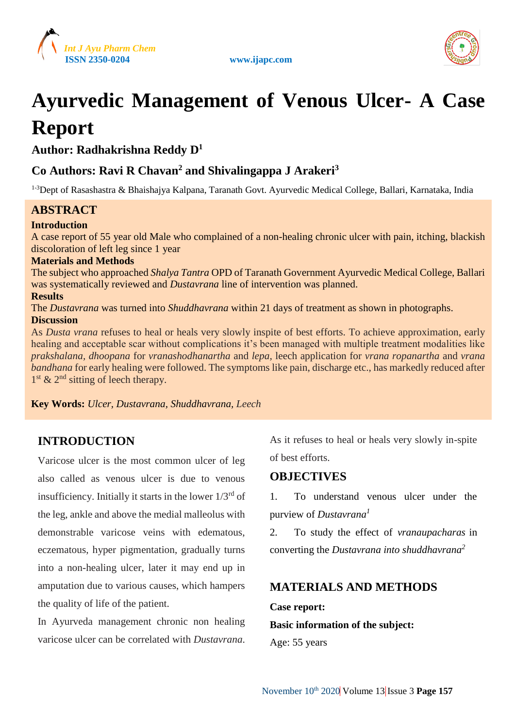





# **Ayurvedic Management of Venous Ulcer- A Case Report**

**Author: Radhakrishna Reddy D<sup>1</sup>**

# **Co Authors: Ravi R Chavan<sup>2</sup> and Shivalingappa J Arakeri<sup>3</sup>**

<sup>1-3</sup>Dept of Rasashastra & Bhaishajya Kalpana, Taranath Govt. Ayurvedic Medical College, Ballari, Karnataka, India

# **ABSTRACT**

## **Introduction**

A case report of 55 year old Male who complained of a non-healing chronic ulcer with pain, itching, blackish discoloration of left leg since 1 year

#### **Materials and Methods**

The subject who approached *Shalya Tantra* OPD of Taranath Government Ayurvedic Medical College, Ballari was systematically reviewed and *Dustavrana* line of intervention was planned.

#### **Results**

The *Dustavrana* was turned into *Shuddhavrana* within 21 days of treatment as shown in photographs. **Discussion**

As *Dusta vrana* refuses to heal or heals very slowly inspite of best efforts. To achieve approximation, early healing and acceptable scar without complications it's been managed with multiple treatment modalities like *prakshalana, dhoopana* for *vranashodhanartha* and *lepa,* leech application for *vrana ropanartha* and *vrana bandhana* for early healing were followed. The symptoms like pain, discharge etc., has markedly reduced after 1<sup>st</sup> & 2<sup>nd</sup> sitting of leech therapy.

**Key Words:** *Ulcer, Dustavrana, Shuddhavrana, Leech*

# **INTRODUCTION**

Varicose ulcer is the most common ulcer of leg also called as venous ulcer is due to venous insufficiency. Initially it starts in the lower  $1/3^{rd}$  of the leg, ankle and above the medial malleolus with demonstrable varicose veins with edematous, eczematous, hyper pigmentation, gradually turns into a non-healing ulcer, later it may end up in amputation due to various causes, which hampers the quality of life of the patient.

In Ayurveda management chronic non healing varicose ulcer can be correlated with *Dustavrana*. As it refuses to heal or heals very slowly in-spite of best efforts.

## **OBJECTIVES**

1. To understand venous ulcer under the purview of *Dustavrana<sup>1</sup>*

2. To study the effect of *vranaupacharas* in converting the *Dustavrana into shuddhavrana<sup>2</sup>*

# **MATERIALS AND METHODS**

#### **Case report:**

**Basic information of the subject:** 

Age: 55 years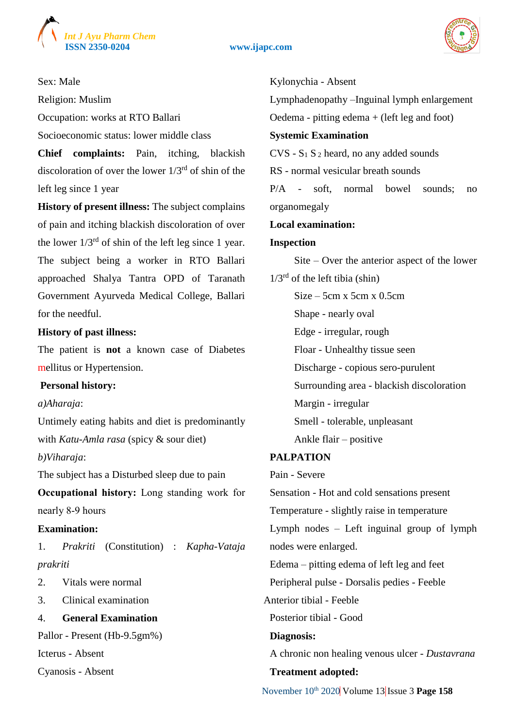

**ISSN 2350-0204 www.ijapc.com**



## Sex: Male

Religion: Muslim

Occupation: works at RTO Ballari

Socioeconomic status: lower middle class

**Chief complaints:** Pain, itching, blackish discoloration of over the lower  $1/3<sup>rd</sup>$  of shin of the left leg since 1 year

**History of present illness:** The subject complains of pain and itching blackish discoloration of over the lower  $1/3^{rd}$  of shin of the left leg since 1 year. The subject being a worker in RTO Ballari approached Shalya Tantra OPD of Taranath Government Ayurveda Medical College, Ballari for the needful.

#### **History of past illness:**

The patient is **not** a known case of Diabetes mellitus or Hypertension.

#### **Personal history:**

*a)Aharaja*:

Untimely eating habits and diet is predominantly with *Katu-Amla rasa* (spicy & sour diet) *b)Viharaja*:

The subject has a Disturbed sleep due to pain **Occupational history:** Long standing work for

nearly 8-9 hours

#### **Examination:**

1. *Prakriti* (Constitution) : *Kapha-Vataja prakriti*

- 2. Vitals were normal
- 3. Clinical examination

## 4. **General Examination**

Pallor - Present (Hb-9.5gm%)

Icterus - Absent

Cyanosis - Absent

#### Kylonychia - Absent

Lymphadenopathy –Inguinal lymph enlargement Oedema - pitting edema + (left leg and foot) **Systemic Examination**  $CVS - S<sub>1</sub> S<sub>2</sub>$  heard, no any added sounds

RS - normal vesicular breath sounds

P/A - soft, normal bowel sounds; no organomegaly

#### **Local examination:**

## **Inspection**

Site – Over the anterior aspect of the lower  $1/3^{rd}$  of the left tibia (shin)  $Size - 5cm \times 5cm \times 0.5cm$ Shape - nearly oval

Edge - irregular, rough

Floar - Unhealthy tissue seen

Discharge - copious sero-purulent

Surrounding area - blackish discoloration

Margin - irregular

Smell - tolerable, unpleasant

Ankle flair – positive

## **PALPATION**

Pain - Severe

Sensation - Hot and cold sensations present Temperature - slightly raise in temperature Lymph nodes – Left inguinal group of lymph nodes were enlarged. Edema – pitting edema of left leg and feet Peripheral pulse - Dorsalis pedies - Feeble Anterior tibial - Feeble Posterior tibial - Good **Diagnosis:** A chronic non healing venous ulcer - *Dustavrana* **Treatment adopted:**

November 10<sup>th</sup> 2020 Volume 13 Issue 3 Page 158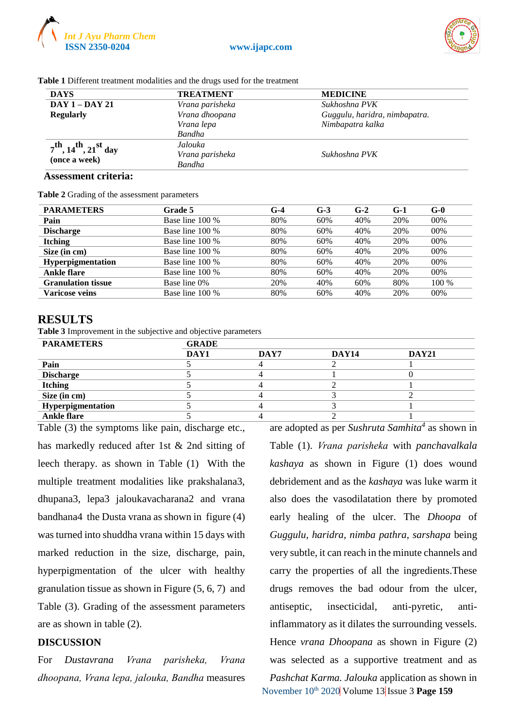



| <b>DAYS</b>                          | <b>TREATMENT</b> | <b>MEDICINE</b>               |
|--------------------------------------|------------------|-------------------------------|
| <b>DAY 1 - DAY 21</b>                | Vrana parisheka  | Sukhoshna PVK                 |
| <b>Regularly</b>                     | Vrana dhoopana   | Guggulu, haridra, nimbapatra. |
|                                      | Vrana lepa       | Nimbapatra kalka              |
|                                      | <b>Bandha</b>    |                               |
| $7^{th}$ , $14^{th}$ , $21^{st}$ day | Jalouka          |                               |
| (once a week)                        | Vrana parisheka  | Sukhoshna PVK                 |
|                                      | <b>Bandha</b>    |                               |

**Table 1** Different treatment modalities and the drugs used for the treatment

#### **Assessment criteria:**

**Table 2** Grading of the assessment parameters

| <b>PARAMETERS</b>         | Grade 5         | G-4 | $G-3$ | $G-2$ | $G-1$ | $G-0$ |
|---------------------------|-----------------|-----|-------|-------|-------|-------|
| Pain                      | Base line 100 % | 80% | 60%   | 40%   | 20%   | 00%   |
| <b>Discharge</b>          | Base line 100 % | 80% | 60%   | 40%   | 20%   | 00%   |
| <b>Itching</b>            | Base line 100 % | 80% | 60%   | 40%   | 20%   | 00%   |
| Size (in cm)              | Base line 100 % | 80% | 60%   | 40%   | 20%   | 00%   |
| Hyperpigmentation         | Base line 100 % | 80% | 60%   | 40%   | 20%   | 00%   |
| Ankle flare               | Base line 100 % | 80% | 60%   | 40%   | 20%   | 00%   |
| <b>Granulation tissue</b> | Base line 0%    | 20% | 40%   | 60%   | 80%   | 100 % |
| Varicose veins            | Base line 100 % | 80% | 60%   | 40%   | 20%   | 00%   |

#### **RESULTS**

**Table 3** Improvement in the subjective and objective parameters

| <b>PARAMETERS</b>  | <b>GRADE</b> |      |       |              |  |  |
|--------------------|--------------|------|-------|--------------|--|--|
|                    | DAY1         | DAY7 | DAY14 | <b>DAY21</b> |  |  |
| Pain               |              |      |       |              |  |  |
| <b>Discharge</b>   |              |      |       |              |  |  |
| <b>Itching</b>     |              |      |       |              |  |  |
| Size (in cm)       |              |      |       |              |  |  |
| Hyperpigmentation  |              |      |       |              |  |  |
| <b>Ankle flare</b> |              |      |       |              |  |  |

Table (3) the symptoms like pain, discharge etc., has markedly reduced after 1st & 2nd sitting of leech therapy. as shown in Table (1) With the multiple treatment modalities like prakshalana3, dhupana3, lepa3 jaloukavacharana2 and vrana bandhana4 the Dusta vrana as shown in figure (4) was turned into shuddha vrana within 15 days with marked reduction in the size, discharge, pain, hyperpigmentation of the ulcer with healthy granulation tissue as shown in Figure (5, 6, 7) and Table (3). Grading of the assessment parameters are as shown in table (2).

#### **DISCUSSION**

For *Dustavrana Vrana parisheka, Vrana dhoopana, Vrana lepa, jalouka, Bandha* measures

November 10th 2020 Volume 13 Issue 3 **Page 159** are adopted as per *Sushruta Samhita<sup>4</sup>* as shown in Table (1). *Vrana parisheka* with *panchavalkala kashaya* as shown in Figure (1) does wound debridement and as the *kashaya* was luke warm it also does the vasodilatation there by promoted early healing of the ulcer. The *Dhoopa* of *Guggulu, haridra, nimba pathra, sarshapa* being very subtle, it can reach in the minute channels and carry the properties of all the ingredients.These drugs removes the bad odour from the ulcer, antiseptic, insecticidal, anti-pyretic, antiinflammatory as it dilates the surrounding vessels. Hence *vrana Dhoopana* as shown in Figure (2) was selected as a supportive treatment and as *Pashchat Karma. Jalouka* application as shown in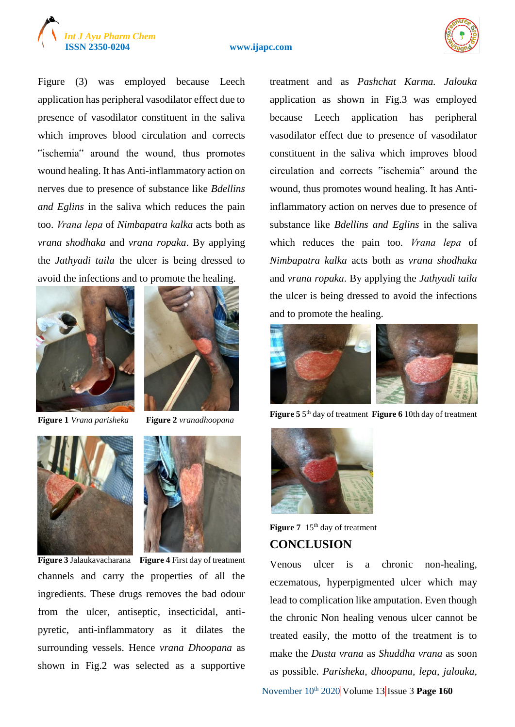

#### **ISSN 2350-0204 www.ijapc.com**



Figure (3) was employed because Leech application has peripheral vasodilator effect due to presence of vasodilator constituent in the saliva which improves blood circulation and corrects "ischemia" around the wound, thus promotes wound healing. It has Anti-inflammatory action on nerves due to presence of substance like *Bdellins and Eglins* in the saliva which reduces the pain too. *Vrana lepa* of *Nimbapatra kalka* acts both as *vrana shodhaka* and *vrana ropaka*. By applying the *Jathyadi taila* the ulcer is being dressed to avoid the infections and to promote the healing.





**Figure 1** *Vrana parisheka* **Figure 2** *vranadhoopana*





**Figure 3** Jalaukavacharana **Figure 4** First day of treatment channels and carry the properties of all the ingredients. These drugs removes the bad odour from the ulcer, antiseptic, insecticidal, antipyretic, anti-inflammatory as it dilates the surrounding vessels. Hence *vrana Dhoopana* as shown in Fig.2 was selected as a supportive treatment and as *Pashchat Karma. Jalouka* application as shown in Fig.3 was employed because Leech application has peripheral vasodilator effect due to presence of vasodilator constituent in the saliva which improves blood circulation and corrects "ischemia" around the wound, thus promotes wound healing. It has Antiinflammatory action on nerves due to presence of substance like *Bdellins and Eglins* in the saliva which reduces the pain too. *Vrana lepa* of *Nimbapatra kalka* acts both as *vrana shodhaka* and *vrana ropaka*. By applying the *Jathyadi taila* the ulcer is being dressed to avoid the infections and to promote the healing.



**Figure 5** 5<sup>th</sup> day of treatment **Figure 6** 10th day of treatment



**Figure 7** 15<sup>th</sup> day of treatment **CONCLUSION**

Venous ulcer is a chronic non-healing, eczematous, hyperpigmented ulcer which may lead to complication like amputation. Even though the chronic Non healing venous ulcer cannot be treated easily, the motto of the treatment is to make the *Dusta vrana* as *Shuddha vrana* as soon as possible. *Parisheka, dhoopana, lepa, jalouka,* 

November 10<sup>th</sup> 2020 Volume 13 Issue 3 **Page 160**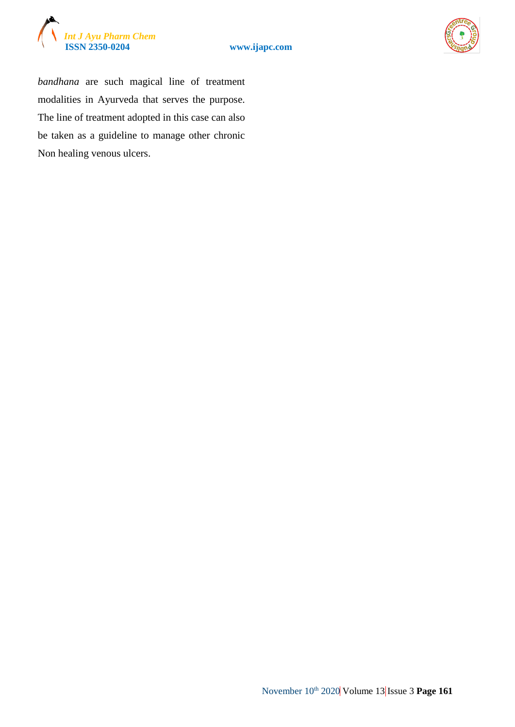





*bandhana* are such magical line of treatment modalities in Ayurveda that serves the purpose. The line of treatment adopted in this case can also be taken as a guideline to manage other chronic Non healing venous ulcers.